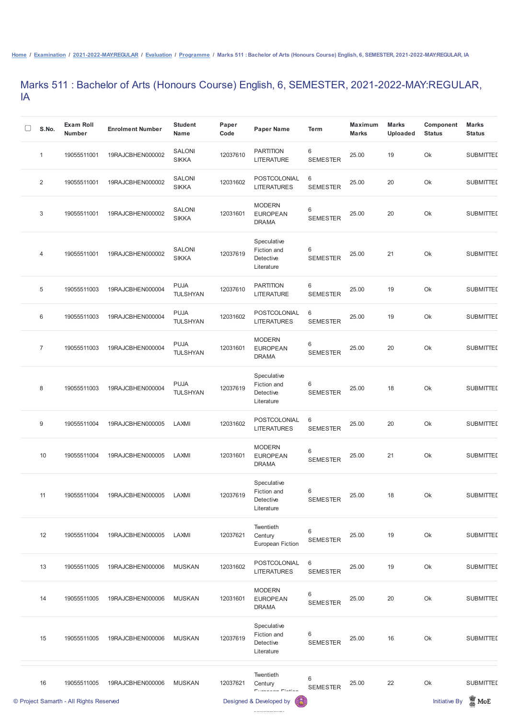## Marks 511 : Bachelor of Arts (Honours Course) English, 6, SEMESTER, 2021-2022-MAY:REGULAR, IA

| S.No.                     | <b>Exam Roll</b><br><b>Number</b> | <b>Enrolment Number</b> | <b>Student</b><br><b>Name</b>  | Paper<br>Code | <b>Paper Name</b>                                     | <b>Term</b>                       | <b>Maximum</b><br><b>Marks</b> | <b>Marks</b><br><b>Uploaded</b> | Component<br><b>Status</b> | <b>Marks</b><br><b>Status</b> |
|---------------------------|-----------------------------------|-------------------------|--------------------------------|---------------|-------------------------------------------------------|-----------------------------------|--------------------------------|---------------------------------|----------------------------|-------------------------------|
| $\mathbf{1}$              | 19055511001                       | 19RAJCBHEN000002        | <b>SALONI</b><br><b>SIKKA</b>  | 12037610      | <b>PARTITION</b><br><b>LITERATURE</b>                 | $6\phantom{.}$<br><b>SEMESTER</b> | 25.00                          | 19                              | Ok                         | <b>SUBMITTED</b>              |
| $\overline{2}$            | 19055511001                       | 19RAJCBHEN000002        | <b>SALONI</b><br><b>SIKKA</b>  | 12031602      | POSTCOLONIAL<br><b>LITERATURES</b>                    | $\,6\,$<br><b>SEMESTER</b>        | 25.00                          | 20                              | Ok                         | <b>SUBMITTED</b>              |
| $\ensuremath{\mathsf{3}}$ | 19055511001                       | 19RAJCBHEN000002        | <b>SALONI</b><br><b>SIKKA</b>  | 12031601      | <b>MODERN</b><br><b>EUROPEAN</b><br><b>DRAMA</b>      | $\,6\,$<br><b>SEMESTER</b>        | 25.00                          | 20                              | Ok                         | <b>SUBMITTED</b>              |
| 4                         | 19055511001                       | 19RAJCBHEN000002        | <b>SALONI</b><br><b>SIKKA</b>  | 12037619      | Speculative<br>Fiction and<br>Detective<br>Literature | $\,6$<br><b>SEMESTER</b>          | 25.00                          | 21                              | Ok                         | <b>SUBMITTED</b>              |
| $\mathbf 5$               | 19055511003                       | 19RAJCBHEN000004        | <b>PUJA</b><br><b>TULSHYAN</b> | 12037610      | <b>PARTITION</b><br><b>LITERATURE</b>                 | $\,6\,$<br><b>SEMESTER</b>        | 25.00                          | 19                              | Ok                         | <b>SUBMITTED</b>              |
| 6                         | 19055511003                       | 19RAJCBHEN000004        | <b>PUJA</b><br><b>TULSHYAN</b> | 12031602      | POSTCOLONIAL<br><b>LITERATURES</b>                    | $6\phantom{1}$<br><b>SEMESTER</b> | 25.00                          | 19                              | Ok                         | <b>SUBMITTED</b>              |
| $\overline{7}$            | 19055511003                       | 19RAJCBHEN000004        | <b>PUJA</b><br><b>TULSHYAN</b> | 12031601      | <b>MODERN</b><br><b>EUROPEAN</b><br><b>DRAMA</b>      | $\,6\,$<br><b>SEMESTER</b>        | 25.00                          | 20                              | Ok                         | <b>SUBMITTED</b>              |
| 8                         |                                   |                         | <b>PUJA</b><br><b>TULSHYAN</b> | 12037619      | Speculative<br>Fiction and<br>Detective<br>Literature | $\,6$<br><b>SEMESTER</b>          | 25.00                          | 18                              | Ok                         | <b>SUBMITTED</b>              |
| $\boldsymbol{9}$          | 19055511004                       | 19RAJCBHEN000005        | LAXMI                          | 12031602      | POSTCOLONIAL<br><b>LITERATURES</b>                    | $6\,$<br><b>SEMESTER</b>          | 25.00                          | 20                              | Ok                         | <b>SUBMITTED</b>              |
| 10                        | 19055511004                       | 19RAJCBHEN000005        | LAXMI                          | 12031601      | <b>MODERN</b><br><b>EUROPEAN</b><br><b>DRAMA</b>      | $\,6\,$<br><b>SEMESTER</b>        | 25.00                          | 21                              | Ok                         | <b>SUBMITTED</b>              |
| 11                        | 19055511004                       | 19RAJCBHEN000005        | LAXMI                          | 12037619      | Speculative<br>Fiction and<br>Detective<br>Literature | 6<br><b>SEMESTER</b>              | 25.00                          | 18                              | Ok                         | <b>SUBMITTED</b>              |
| 12                        | 19055511004                       | 19RAJCBHEN000005        | LAXMI                          | 12037621      | Twentieth<br>Century                                  | $\,6\,$<br><b>SEMESTER</b>        | 25.00                          | 19                              | Ok                         | <b>SUBMITTED</b>              |

European Fiction

|    | © Project Samarth - All Rights Reserved |                  |               |          | 6<br>Designed & Developed by                                 |                      |       |    | <b>Initiative By</b> | $\blacksquare$ MoE |
|----|-----------------------------------------|------------------|---------------|----------|--------------------------------------------------------------|----------------------|-------|----|----------------------|--------------------|
| 16 | 19055511005                             | 19RAJCBHEN000006 | <b>MUSKAN</b> | 12037621 | Twentieth<br>Century<br>European Eintian                     | 6<br><b>SEMESTER</b> | 25.00 | 22 | Ok                   | <b>SUBMITTED</b>   |
| 15 | 19055511005                             | 19RAJCBHEN000006 | <b>MUSKAN</b> | 12037619 | Speculative<br>Fiction and<br><b>Detective</b><br>Literature | 6<br><b>SEMESTER</b> | 25.00 | 16 | Ok                   | <b>SUBMITTED</b>   |
| 14 | 19055511005                             | 19RAJCBHEN000006 | <b>MUSKAN</b> | 12031601 | <b>MODERN</b><br><b>EUROPEAN</b><br><b>DRAMA</b>             | 6<br><b>SEMESTER</b> | 25.00 | 20 | Ok                   | <b>SUBMITTED</b>   |
| 13 | 19055511005                             | 19RAJCBHEN000006 | <b>MUSKAN</b> | 12031602 | POSTCOLONIAL<br><b>LITERATURES</b>                           | 6<br><b>SEMESTER</b> | 25.00 | 19 | Ok                   | <b>SUBMITTED</b>   |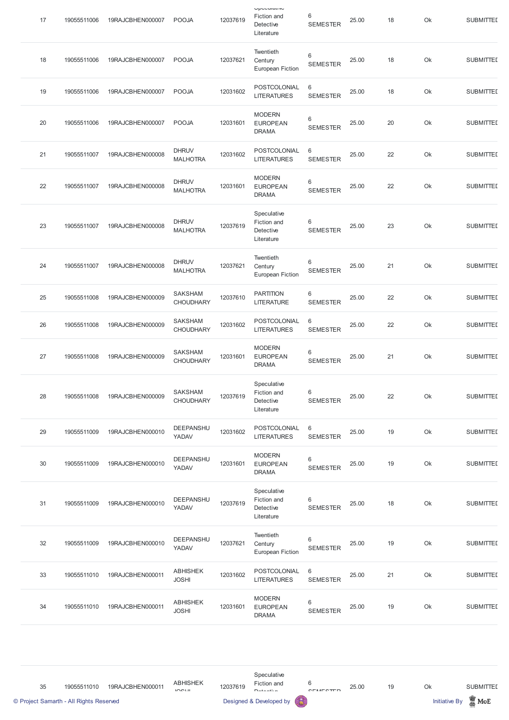| 17 | 19055511006 | 19RAJCBHEN000007 | <b>POOJA</b>                       | 12037619 | Upuuuluu<br>Fiction and<br>Detective<br>Literature    | 6<br><b>SEMESTER</b>              | 25.00 | 18 | Ok | <b>SUBMITTED</b> |
|----|-------------|------------------|------------------------------------|----------|-------------------------------------------------------|-----------------------------------|-------|----|----|------------------|
| 18 | 19055511006 | 19RAJCBHEN000007 | <b>POOJA</b>                       | 12037621 | Twentieth<br>Century<br><b>European Fiction</b>       | 6<br><b>SEMESTER</b>              | 25.00 | 18 | Ok | <b>SUBMITTED</b> |
| 19 | 19055511006 | 19RAJCBHEN000007 | <b>POOJA</b>                       | 12031602 | POSTCOLONIAL<br><b>LITERATURES</b>                    | $6\phantom{1}$<br><b>SEMESTER</b> | 25.00 | 18 | Ok | <b>SUBMITTED</b> |
| 20 | 19055511006 | 19RAJCBHEN000007 | <b>POOJA</b>                       | 12031601 | <b>MODERN</b><br><b>EUROPEAN</b><br><b>DRAMA</b>      | 6<br><b>SEMESTER</b>              | 25.00 | 20 | Ok | <b>SUBMITTED</b> |
| 21 | 19055511007 | 19RAJCBHEN000008 | <b>DHRUV</b><br><b>MALHOTRA</b>    | 12031602 | POSTCOLONIAL<br><b>LITERATURES</b>                    | 6<br><b>SEMESTER</b>              | 25.00 | 22 | Ok | <b>SUBMITTED</b> |
| 22 | 19055511007 | 19RAJCBHEN000008 | <b>DHRUV</b><br><b>MALHOTRA</b>    | 12031601 | <b>MODERN</b><br><b>EUROPEAN</b><br><b>DRAMA</b>      | 6<br><b>SEMESTER</b>              | 25.00 | 22 | Ok | <b>SUBMITTED</b> |
| 23 | 19055511007 | 19RAJCBHEN000008 | <b>DHRUV</b><br><b>MALHOTRA</b>    | 12037619 | Speculative<br>Fiction and<br>Detective<br>Literature | 6<br><b>SEMESTER</b>              | 25.00 | 23 | Ok | <b>SUBMITTED</b> |
| 24 | 19055511007 | 19RAJCBHEN000008 | <b>DHRUV</b><br><b>MALHOTRA</b>    | 12037621 | Twentieth<br>Century<br><b>European Fiction</b>       | 6<br><b>SEMESTER</b>              | 25.00 | 21 | Ok | <b>SUBMITTED</b> |
| 25 | 19055511008 | 19RAJCBHEN000009 | <b>SAKSHAM</b><br><b>CHOUDHARY</b> | 12037610 | <b>PARTITION</b><br><b>LITERATURE</b>                 | 6<br><b>SEMESTER</b>              | 25.00 | 22 | Ok | <b>SUBMITTED</b> |
| 26 | 19055511008 | 19RAJCBHEN000009 | <b>SAKSHAM</b><br><b>CHOUDHARY</b> | 12031602 | POSTCOLONIAL<br><b>LITERATURES</b>                    | $6\phantom{1}$<br><b>SEMESTER</b> | 25.00 | 22 | Ok | <b>SUBMITTED</b> |
| 27 | 19055511008 | 19RAJCBHEN000009 | <b>SAKSHAM</b><br><b>CHOUDHARY</b> | 12031601 | <b>MODERN</b><br><b>EUROPEAN</b><br><b>DRAMA</b>      | 6<br><b>SEMESTER</b>              | 25.00 | 21 | Ok | <b>SUBMITTED</b> |
| 28 | 19055511008 | 19RAJCBHEN000009 | <b>SAKSHAM</b><br><b>CHOUDHARY</b> | 12037619 | Speculative<br>Fiction and<br>Detective<br>Literature | 6<br><b>SEMESTER</b>              | 25.00 | 22 | Ok | <b>SUBMITTED</b> |
| 29 | 19055511009 | 19RAJCBHEN000010 | <b>DEEPANSHU</b><br>YADAV          | 12031602 | POSTCOLONIAL<br><b>LITERATURES</b>                    | $6\phantom{1}$<br><b>SEMESTER</b> | 25.00 | 19 | Ok | <b>SUBMITTED</b> |
| 30 | 19055511009 | 19RAJCBHEN000010 | <b>DEEPANSHU</b><br>YADAV          | 12031601 | <b>MODERN</b><br><b>EUROPEAN</b><br><b>DRAMA</b>      | 6<br><b>SEMESTER</b>              | 25.00 | 19 | Ok | <b>SUBMITTED</b> |
| 31 | 19055511009 | 19RAJCBHEN000010 | <b>DEEPANSHU</b><br>YADAV          | 12037619 | Speculative<br>Fiction and<br>Detective<br>Literature | 6<br><b>SEMESTER</b>              | 25.00 | 18 | Ok | <b>SUBMITTED</b> |
| 32 | 19055511009 | 19RAJCBHEN000010 | <b>DEEPANSHU</b><br>YADAV          | 12037621 | Twentieth<br>Century<br>European Fiction              | 6<br><b>SEMESTER</b>              | 25.00 | 19 | Ok | <b>SUBMITTED</b> |
| 33 | 19055511010 | 19RAJCBHEN000011 | <b>ABHISHEK</b><br><b>JOSHI</b>    | 12031602 | POSTCOLONIAL<br><b>LITERATURES</b>                    | $6\phantom{1}$<br><b>SEMESTER</b> | 25.00 | 21 | Ok | <b>SUBMITTED</b> |
| 34 | 19055511010 | 19RAJCBHEN000011 | <b>ABHISHEK</b><br><b>JOSHI</b>    | 12031601 | <b>MODERN</b><br><b>EUROPEAN</b><br><b>DRAMA</b>      | 6<br><b>SEMESTER</b>              | 25.00 | 19 | Ok | <b>SUBMITTED</b> |

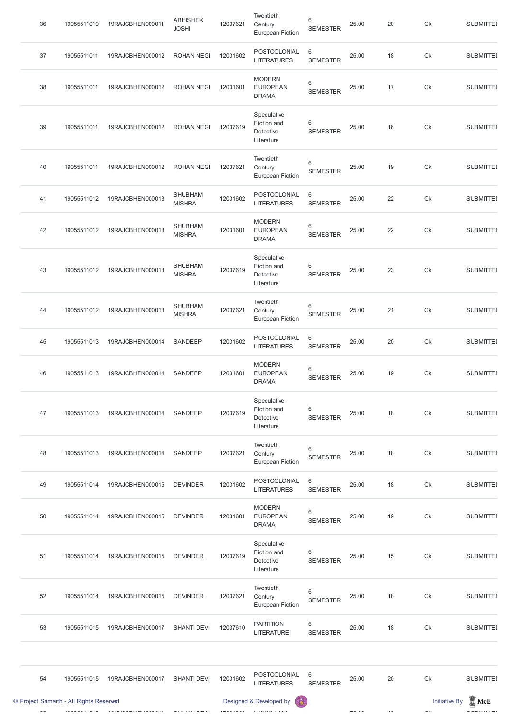| © Project Samarth - All Rights Reserved |             |                           |                                 |          | Designed & Developed by<br>63                         |                                    |       |    | <b>Initiative By</b> | $\mathbb Z$ MoE  |
|-----------------------------------------|-------------|---------------------------|---------------------------------|----------|-------------------------------------------------------|------------------------------------|-------|----|----------------------|------------------|
| 54                                      | 19055511015 | 19RAJCBHEN000017          | <b>SHANTI DEVI</b>              | 12031602 | POSTCOLONIAL<br><b>LITERATURES</b>                    | $6\phantom{1}6$<br><b>SEMESTER</b> | 25.00 | 20 | Ok                   | <b>SUBMITTED</b> |
| 53                                      | 19055511015 | 19RAJCBHEN000017          | <b>SHANTI DEVI</b>              | 12037610 | <b>PARTITION</b><br><b>LITERATURE</b>                 | 6<br><b>SEMESTER</b>               | 25.00 | 18 | Ok                   | <b>SUBMITTED</b> |
| 52                                      | 19055511014 | 19RAJCBHEN000015          | <b>DEVINDER</b>                 | 12037621 | Twentieth<br>Century<br><b>European Fiction</b>       | $\,6$<br><b>SEMESTER</b>           | 25.00 | 18 | Ok                   | <b>SUBMITTED</b> |
| 51                                      | 19055511014 | 19RAJCBHEN000015 DEVINDER |                                 | 12037619 | Speculative<br>Fiction and<br>Detective<br>Literature | 6<br><b>SEMESTER</b>               | 25.00 | 15 | Ok                   | <b>SUBMITTED</b> |
| 50                                      | 19055511014 | 19RAJCBHEN000015          | <b>DEVINDER</b>                 | 12031601 | <b>MODERN</b><br><b>EUROPEAN</b><br><b>DRAMA</b>      | 6<br><b>SEMESTER</b>               | 25.00 | 19 | Ok                   | <b>SUBMITTED</b> |
| 49                                      | 19055511014 | 19RAJCBHEN000015          | <b>DEVINDER</b>                 | 12031602 | POSTCOLONIAL<br><b>LITERATURES</b>                    | 6<br><b>SEMESTER</b>               | 25.00 | 18 | Ok                   | <b>SUBMITTED</b> |
| 48                                      | 19055511013 | 19RAJCBHEN000014          | SANDEEP                         | 12037621 | Twentieth<br>Century<br><b>European Fiction</b>       | $\,6$<br><b>SEMESTER</b>           | 25.00 | 18 | Ok                   | <b>SUBMITTED</b> |
| 47                                      | 19055511013 | 19RAJCBHEN000014          | SANDEEP                         | 12037619 | Speculative<br>Fiction and<br>Detective<br>Literature | 6<br><b>SEMESTER</b>               | 25.00 | 18 | Ok                   | <b>SUBMITTED</b> |
| 46                                      | 19055511013 | 19RAJCBHEN000014          | SANDEEP                         | 12031601 | <b>MODERN</b><br><b>EUROPEAN</b><br><b>DRAMA</b>      | $\,6\,$<br><b>SEMESTER</b>         | 25.00 | 19 | Ok                   | <b>SUBMITTED</b> |
| 45                                      | 19055511013 | 19RAJCBHEN000014          | SANDEEP                         | 12031602 | POSTCOLONIAL<br><b>LITERATURES</b>                    | 6<br><b>SEMESTER</b>               | 25.00 | 20 | Ok                   | <b>SUBMITTED</b> |
| 44                                      | 19055511012 | 19RAJCBHEN000013          | <b>SHUBHAM</b><br><b>MISHRA</b> | 12037621 | Twentieth<br>Century<br><b>European Fiction</b>       | $\,6\,$<br><b>SEMESTER</b>         | 25.00 | 21 | Ok                   | <b>SUBMITTED</b> |
| 43                                      | 19055511012 | 19RAJCBHEN000013          | <b>SHUBHAM</b><br><b>MISHRA</b> | 12037619 | Speculative<br>Fiction and<br>Detective<br>Literature | 6<br><b>SEMESTER</b>               | 25.00 | 23 | Ok                   | <b>SUBMITTED</b> |
| 42                                      | 19055511012 | 19RAJCBHEN000013          | SHUBHAM<br><b>MISHRA</b>        | 12031601 | <b>MODERN</b><br><b>EUROPEAN</b><br><b>DRAMA</b>      | $\,6$<br><b>SEMESTER</b>           | 25.00 | 22 | Ok                   | <b>SUBMITTED</b> |
| 41                                      | 19055511012 | 19RAJCBHEN000013          | <b>SHUBHAM</b><br><b>MISHRA</b> | 12031602 | POSTCOLONIAL<br><b>LITERATURES</b>                    | $6\phantom{1}6$<br><b>SEMESTER</b> | 25.00 | 22 | Ok                   | <b>SUBMITTED</b> |
| 40                                      | 19055511011 | 19RAJCBHEN000012          | <b>ROHAN NEGI</b>               | 12037621 | Twentieth<br>Century<br><b>European Fiction</b>       | $\,6$<br><b>SEMESTER</b>           | 25.00 | 19 | Ok                   | <b>SUBMITTED</b> |
| 39                                      | 19055511011 | 19RAJCBHEN000012          | <b>ROHAN NEGI</b>               | 12037619 | Speculative<br>Fiction and<br>Detective<br>Literature | 6<br><b>SEMESTER</b>               | 25.00 | 16 | Ok                   | <b>SUBMITTED</b> |
| 38                                      | 19055511011 | 19RAJCBHEN000012          | <b>ROHAN NEGI</b>               | 12031601 | <b>MODERN</b><br><b>EUROPEAN</b><br><b>DRAMA</b>      | 6<br><b>SEMESTER</b>               | 25.00 | 17 | Ok                   | <b>SUBMITTED</b> |
| 37                                      | 19055511011 | 19RAJCBHEN000012          | <b>ROHAN NEGI</b>               | 12031602 | POSTCOLONIAL<br><b>LITERATURES</b>                    | $\,6\,$<br><b>SEMESTER</b>         | 25.00 | 18 | Ok                   | <b>SUBMITTED</b> |
| 36                                      | 19055511010 | 19RAJCBHEN000011          | <b>ABHISHEK</b><br><b>JOSHI</b> | 12037621 | Twentieth<br>Century<br><b>European Fiction</b>       | 6<br><b>SEMESTER</b>               | 25.00 | 20 | Ok                   | <b>SUBMITTED</b> |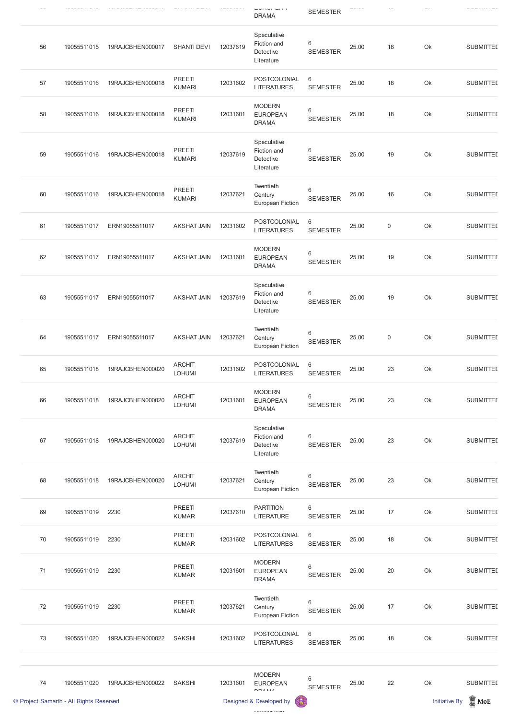|    |                                         |                  |                                |          | $\cup$ $\cup$ $\cup$ $\cup$ $\cup$<br><b>DRAMA</b>    | <b>SEMESTER</b>                    |       |             |                      |                  |
|----|-----------------------------------------|------------------|--------------------------------|----------|-------------------------------------------------------|------------------------------------|-------|-------------|----------------------|------------------|
| 56 | 19055511015                             | 19RAJCBHEN000017 | <b>SHANTI DEVI</b>             | 12037619 | Speculative<br>Fiction and<br>Detective<br>Literature | 6<br><b>SEMESTER</b>               | 25.00 | 18          | Ok                   | <b>SUBMITTED</b> |
| 57 | 19055511016                             | 19RAJCBHEN000018 | PREETI<br><b>KUMARI</b>        | 12031602 | POSTCOLONIAL<br><b>LITERATURES</b>                    | 6<br><b>SEMESTER</b>               | 25.00 | 18          | Ok                   | <b>SUBMITTED</b> |
| 58 | 19055511016                             | 19RAJCBHEN000018 | PREETI<br><b>KUMARI</b>        | 12031601 | <b>MODERN</b><br><b>EUROPEAN</b><br><b>DRAMA</b>      | 6<br><b>SEMESTER</b>               | 25.00 | 18          | Ok                   | <b>SUBMITTED</b> |
| 59 | 19055511016                             | 19RAJCBHEN000018 | PREETI<br><b>KUMARI</b>        | 12037619 | Speculative<br>Fiction and<br>Detective<br>Literature | 6<br><b>SEMESTER</b>               | 25.00 | 19          | Ok                   | <b>SUBMITTED</b> |
| 60 | 19055511016                             | 19RAJCBHEN000018 | PREETI<br><b>KUMARI</b>        | 12037621 | Twentieth<br>Century<br><b>European Fiction</b>       | $\,6$<br><b>SEMESTER</b>           | 25.00 | 16          | Ok                   | <b>SUBMITTED</b> |
| 61 | 19055511017                             | ERN19055511017   | <b>AKSHAT JAIN</b>             | 12031602 | POSTCOLONIAL<br><b>LITERATURES</b>                    | $6\phantom{1}6$<br><b>SEMESTER</b> | 25.00 | $\mathbf 0$ | Ok                   | <b>SUBMITTED</b> |
| 62 | 19055511017                             | ERN19055511017   | <b>AKSHAT JAIN</b>             | 12031601 | <b>MODERN</b><br><b>EUROPEAN</b><br><b>DRAMA</b>      | $6\,$<br><b>SEMESTER</b>           | 25.00 | 19          | Ok                   | <b>SUBMITTED</b> |
| 63 | 19055511017                             | ERN19055511017   | <b>AKSHAT JAIN</b>             | 12037619 | Speculative<br>Fiction and<br>Detective<br>Literature | 6<br><b>SEMESTER</b>               | 25.00 | 19          | Ok                   | <b>SUBMITTED</b> |
| 64 | 19055511017                             | ERN19055511017   | <b>AKSHAT JAIN</b>             | 12037621 | Twentieth<br>Century<br><b>European Fiction</b>       | $\,6$<br><b>SEMESTER</b>           | 25.00 | $\mathsf 0$ | Ok                   | <b>SUBMITTED</b> |
| 65 | 19055511018                             | 19RAJCBHEN000020 | <b>ARCHIT</b><br><b>LOHUMI</b> | 12031602 | POSTCOLONIAL<br><b>LITERATURES</b>                    | 6<br><b>SEMESTER</b>               | 25.00 | 23          | Ok                   | <b>SUBMITTED</b> |
| 66 | 19055511018                             | 19RAJCBHEN000020 | <b>ARCHIT</b><br><b>LOHUMI</b> | 12031601 | <b>MODERN</b><br><b>EUROPEAN</b><br><b>DRAMA</b>      | 6<br><b>SEMESTER</b>               | 25.00 | 23          | Ok                   | <b>SUBMITTED</b> |
| 67 | 19055511018                             | 19RAJCBHEN000020 | <b>ARCHIT</b><br><b>LOHUMI</b> | 12037619 | Speculative<br>Fiction and<br>Detective<br>Literature | 6<br><b>SEMESTER</b>               | 25.00 | 23          | Ok                   | <b>SUBMITTED</b> |
| 68 | 19055511018                             | 19RAJCBHEN000020 | <b>ARCHIT</b><br><b>LOHUMI</b> | 12037621 | Twentieth<br>Century<br><b>European Fiction</b>       | $\,6\,$<br><b>SEMESTER</b>         | 25.00 | 23          | Ok                   | <b>SUBMITTED</b> |
| 69 | 19055511019                             | 2230             | PREETI<br><b>KUMAR</b>         | 12037610 | <b>PARTITION</b><br><b>LITERATURE</b>                 | $\,6$<br><b>SEMESTER</b>           | 25.00 | 17          | Ok                   | <b>SUBMITTED</b> |
| 70 | 19055511019                             | 2230             | PREETI<br><b>KUMAR</b>         | 12031602 | POSTCOLONIAL<br><b>LITERATURES</b>                    | 6<br><b>SEMESTER</b>               | 25.00 | 18          | Ok                   | <b>SUBMITTED</b> |
| 71 | 19055511019                             | 2230             | PREETI<br><b>KUMAR</b>         | 12031601 | <b>MODERN</b><br><b>EUROPEAN</b><br><b>DRAMA</b>      | 6<br><b>SEMESTER</b>               | 25.00 | 20          | Ok                   | <b>SUBMITTED</b> |
| 72 | 19055511019                             | 2230             | PREETI<br><b>KUMAR</b>         | 12037621 | Twentieth<br>Century<br><b>European Fiction</b>       | $\,6$<br><b>SEMESTER</b>           | 25.00 | 17          | Ok                   | <b>SUBMITTED</b> |
| 73 | 19055511020                             | 19RAJCBHEN000022 | <b>SAKSHI</b>                  | 12031602 | POSTCOLONIAL<br><b>LITERATURES</b>                    | $\,6$<br><b>SEMESTER</b>           | 25.00 | 18          | Ok                   | <b>SUBMITTED</b> |
| 74 | 19055511020                             | 19RAJCBHEN000022 | <b>SAKSHI</b>                  | 12031601 | <b>MODERN</b><br><b>EUROPEAN</b><br><b>DDAMA</b>      | 6<br><b>SEMESTER</b>               | 25.00 | 22          | Ok                   | <b>SUBMITTED</b> |
|    | © Project Samarth - All Rights Reserved |                  |                                |          | Designed & Developed by<br>偈                          |                                    |       |             | <b>Initiative By</b> | $\mathbb Z$ MoE  |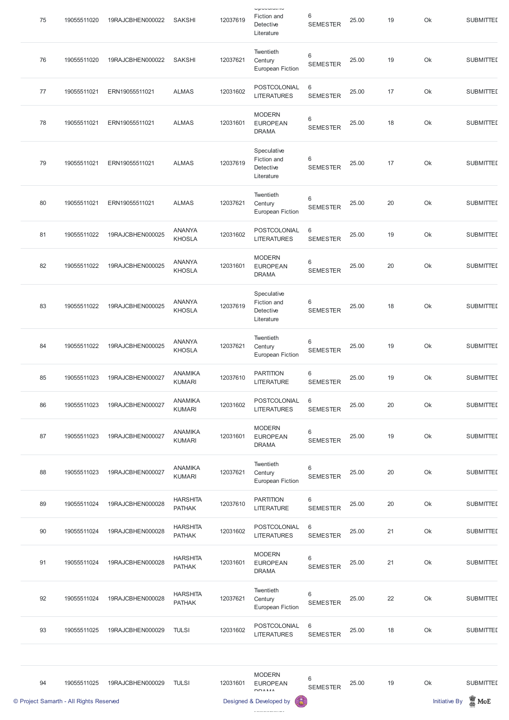| 75 | 19055511020 | 19RAJCBHEN000022 | <b>SAKSHI</b>                    | 12037619 | Upouulunu<br>Fiction and<br>Detective<br>Literature   | 6<br><b>SEMESTER</b>               | 25.00 | 19 | Ok | <b>SUBMITTED</b> |
|----|-------------|------------------|----------------------------------|----------|-------------------------------------------------------|------------------------------------|-------|----|----|------------------|
| 76 | 19055511020 | 19RAJCBHEN000022 | <b>SAKSHI</b>                    | 12037621 | Twentieth<br>Century<br><b>European Fiction</b>       | $\,6\,$<br><b>SEMESTER</b>         | 25.00 | 19 | Ok | <b>SUBMITTED</b> |
| 77 | 19055511021 | ERN19055511021   | <b>ALMAS</b>                     | 12031602 | POSTCOLONIAL<br><b>LITERATURES</b>                    | $6\,$<br><b>SEMESTER</b>           | 25.00 | 17 | Ok | <b>SUBMITTED</b> |
| 78 | 19055511021 | ERN19055511021   | <b>ALMAS</b>                     | 12031601 | <b>MODERN</b><br><b>EUROPEAN</b><br><b>DRAMA</b>      | $\,6\,$<br><b>SEMESTER</b>         | 25.00 | 18 | Ok | <b>SUBMITTED</b> |
| 79 | 19055511021 | ERN19055511021   | <b>ALMAS</b>                     | 12037619 | Speculative<br>Fiction and<br>Detective<br>Literature | 6<br><b>SEMESTER</b>               | 25.00 | 17 | Ok | <b>SUBMITTED</b> |
| 80 | 19055511021 | ERN19055511021   | <b>ALMAS</b>                     | 12037621 | Twentieth<br>Century<br><b>European Fiction</b>       | $\,6\,$<br><b>SEMESTER</b>         | 25.00 | 20 | Ok | <b>SUBMITTED</b> |
| 81 | 19055511022 | 19RAJCBHEN000025 | <b>ANANYA</b><br><b>KHOSLA</b>   | 12031602 | POSTCOLONIAL<br><b>LITERATURES</b>                    | $6\,$<br><b>SEMESTER</b>           | 25.00 | 19 | Ok | <b>SUBMITTED</b> |
| 82 | 19055511022 | 19RAJCBHEN000025 | <b>ANANYA</b><br><b>KHOSLA</b>   | 12031601 | <b>MODERN</b><br><b>EUROPEAN</b><br><b>DRAMA</b>      | $6\,$<br><b>SEMESTER</b>           | 25.00 | 20 | Ok | <b>SUBMITTED</b> |
| 83 | 19055511022 | 19RAJCBHEN000025 | <b>ANANYA</b><br><b>KHOSLA</b>   | 12037619 | Speculative<br>Fiction and<br>Detective<br>Literature | $6\,$<br><b>SEMESTER</b>           | 25.00 | 18 | Ok | <b>SUBMITTED</b> |
| 84 | 19055511022 | 19RAJCBHEN000025 | <b>ANANYA</b><br><b>KHOSLA</b>   | 12037621 | Twentieth<br>Century<br><b>European Fiction</b>       | $\,6\,$<br><b>SEMESTER</b>         | 25.00 | 19 | Ok | <b>SUBMITTED</b> |
| 85 | 19055511023 | 19RAJCBHEN000027 | <b>ANAMIKA</b><br><b>KUMARI</b>  | 12037610 | <b>PARTITION</b><br><b>LITERATURE</b>                 | $6\,$<br><b>SEMESTER</b>           | 25.00 | 19 | Ok | <b>SUBMITTED</b> |
| 86 | 19055511023 | 19RAJCBHEN000027 | <b>ANAMIKA</b><br><b>KUMARI</b>  | 12031602 | POSTCOLONIAL<br><b>LITERATURES</b>                    | $6\,$<br><b>SEMESTER</b>           | 25.00 | 20 | Ok | <b>SUBMITTED</b> |
| 87 | 19055511023 | 19RAJCBHEN000027 | <b>ANAMIKA</b><br><b>KUMARI</b>  | 12031601 | <b>MODERN</b><br><b>EUROPEAN</b><br><b>DRAMA</b>      | $6\phantom{1}6$<br><b>SEMESTER</b> | 25.00 | 19 | Ok | <b>SUBMITTED</b> |
| 88 | 19055511023 | 19RAJCBHEN000027 | <b>ANAMIKA</b><br><b>KUMARI</b>  | 12037621 | Twentieth<br>Century<br><b>European Fiction</b>       | $\,6\,$<br><b>SEMESTER</b>         | 25.00 | 20 | Ok | <b>SUBMITTED</b> |
| 89 | 19055511024 | 19RAJCBHEN000028 | <b>HARSHITA</b><br><b>PATHAK</b> | 12037610 | <b>PARTITION</b><br><b>LITERATURE</b>                 | $6\phantom{1}6$<br><b>SEMESTER</b> | 25.00 | 20 | Ok | <b>SUBMITTED</b> |
| 90 | 19055511024 | 19RAJCBHEN000028 | <b>HARSHITA</b><br><b>PATHAK</b> | 12031602 | POSTCOLONIAL<br><b>LITERATURES</b>                    | $\,6\,$<br><b>SEMESTER</b>         | 25.00 | 21 | Ok | <b>SUBMITTED</b> |

|    | © Project Samarth - All Rights Reserved |                  |                                  |          | 6<br>Designed & Developed by                     |                          |       |    | <b>Initiative By</b> | $\frac{1}{20}$ MoE |
|----|-----------------------------------------|------------------|----------------------------------|----------|--------------------------------------------------|--------------------------|-------|----|----------------------|--------------------|
| 94 | 19055511025                             | 19RAJCBHEN000029 | <b>TULSI</b>                     | 12031601 | <b>MODERN</b><br><b>EUROPEAN</b><br><b>DDAMA</b> | 6<br><b>SEMESTER</b>     | 25.00 | 19 | Ok                   | <b>SUBMITTED</b>   |
|    |                                         |                  |                                  |          |                                                  |                          |       |    |                      |                    |
| 93 | 19055511025                             | 19RAJCBHEN000029 | <b>TULSI</b>                     | 12031602 | POSTCOLONIAL<br><b>LITERATURES</b>               | 6<br><b>SEMESTER</b>     | 25.00 | 18 | Ok                   | <b>SUBMITTED</b>   |
| 92 | 19055511024                             | 19RAJCBHEN000028 | <b>HARSHITA</b><br><b>PATHAK</b> | 12037621 | Twentieth<br>Century<br><b>European Fiction</b>  | $\,6$<br><b>SEMESTER</b> | 25.00 | 22 | Ok                   | <b>SUBMITTED</b>   |
| 91 | 19055511024                             | 19RAJCBHEN000028 | <b>HARSHITA</b><br><b>PATHAK</b> | 12031601 | <b>MODERN</b><br><b>EUROPEAN</b><br><b>DRAMA</b> | 6<br><b>SEMESTER</b>     | 25.00 | 21 | Ok                   | <b>SUBMITTED</b>   |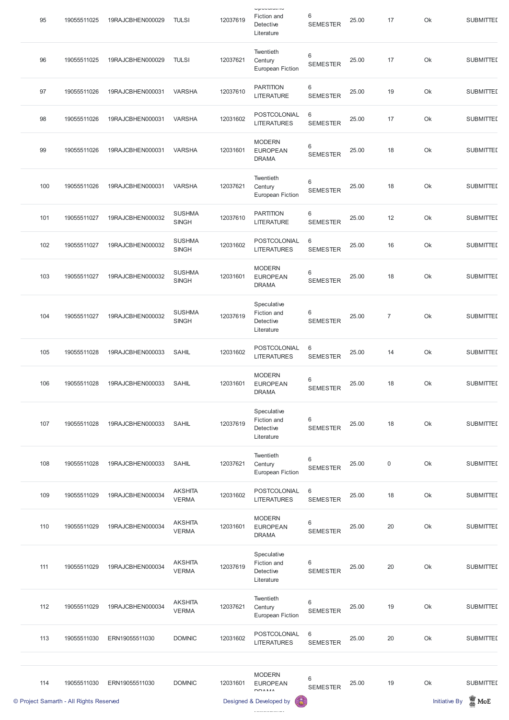| 95  | 19055511025 | 19RAJCBHEN000029 | <b>TULSI</b>                   | 12037619 | Upouuluu<br>Fiction and<br>Detective<br>Literature    | 6<br><b>SEMESTER</b>     | 25.00 | 17               | Ok | <b>SUBMITTED</b> |
|-----|-------------|------------------|--------------------------------|----------|-------------------------------------------------------|--------------------------|-------|------------------|----|------------------|
| 96  | 19055511025 | 19RAJCBHEN000029 | <b>TULSI</b>                   | 12037621 | Twentieth<br>Century<br><b>European Fiction</b>       | $\,6$<br><b>SEMESTER</b> | 25.00 | 17               | Ok | <b>SUBMITTED</b> |
| 97  | 19055511026 | 19RAJCBHEN000031 | <b>VARSHA</b>                  | 12037610 | <b>PARTITION</b><br><b>LITERATURE</b>                 | 6<br><b>SEMESTER</b>     | 25.00 | 19               | Ok | <b>SUBMITTED</b> |
| 98  | 19055511026 | 19RAJCBHEN000031 | <b>VARSHA</b>                  | 12031602 | POSTCOLONIAL<br><b>LITERATURES</b>                    | 6<br><b>SEMESTER</b>     | 25.00 | 17               | Ok | <b>SUBMITTED</b> |
| 99  | 19055511026 | 19RAJCBHEN000031 | <b>VARSHA</b>                  | 12031601 | <b>MODERN</b><br><b>EUROPEAN</b><br><b>DRAMA</b>      | 6<br><b>SEMESTER</b>     | 25.00 | 18               | Ok | <b>SUBMITTED</b> |
| 100 | 19055511026 | 19RAJCBHEN000031 | <b>VARSHA</b>                  | 12037621 | Twentieth<br>Century<br><b>European Fiction</b>       | 6<br><b>SEMESTER</b>     | 25.00 | 18               | Ok | <b>SUBMITTED</b> |
| 101 | 19055511027 | 19RAJCBHEN000032 | <b>SUSHMA</b><br><b>SINGH</b>  | 12037610 | <b>PARTITION</b><br><b>LITERATURE</b>                 | 6<br><b>SEMESTER</b>     | 25.00 | 12               | Ok | <b>SUBMITTED</b> |
| 102 | 19055511027 | 19RAJCBHEN000032 | <b>SUSHMA</b><br><b>SINGH</b>  | 12031602 | POSTCOLONIAL<br><b>LITERATURES</b>                    | 6<br><b>SEMESTER</b>     | 25.00 | 16               | Ok | <b>SUBMITTED</b> |
| 103 | 19055511027 | 19RAJCBHEN000032 | <b>SUSHMA</b><br><b>SINGH</b>  | 12031601 | <b>MODERN</b><br><b>EUROPEAN</b><br><b>DRAMA</b>      | 6<br><b>SEMESTER</b>     | 25.00 | 18               | Ok | <b>SUBMITTED</b> |
| 104 | 19055511027 | 19RAJCBHEN000032 | <b>SUSHMA</b><br><b>SINGH</b>  | 12037619 | Speculative<br>Fiction and<br>Detective<br>Literature | 6<br><b>SEMESTER</b>     | 25.00 | $\boldsymbol{7}$ | Ok | <b>SUBMITTED</b> |
| 105 | 19055511028 | 19RAJCBHEN000033 | <b>SAHIL</b>                   | 12031602 | POSTCOLONIAL<br><b>LITERATURES</b>                    | 6<br><b>SEMESTER</b>     | 25.00 | 14               | Ok | <b>SUBMITTED</b> |
| 106 | 19055511028 | 19RAJCBHEN000033 | <b>SAHIL</b>                   | 12031601 | <b>MODERN</b><br><b>EUROPEAN</b><br><b>DRAMA</b>      | $\,6$<br><b>SEMESTER</b> | 25.00 | 18               | Ok | <b>SUBMITTED</b> |
| 107 | 19055511028 | 19RAJCBHEN000033 | <b>SAHIL</b>                   | 12037619 | Speculative<br>Fiction and<br>Detective<br>Literature | 6<br><b>SEMESTER</b>     | 25.00 | 18               | Ok | <b>SUBMITTED</b> |
| 108 | 19055511028 | 19RAJCBHEN000033 | <b>SAHIL</b>                   | 12037621 | Twentieth<br>Century<br><b>European Fiction</b>       | $\,6$<br><b>SEMESTER</b> | 25.00 | $\mathbf 0$      | Ok | <b>SUBMITTED</b> |
| 109 | 19055511029 | 19RAJCBHEN000034 | <b>AKSHITA</b><br><b>VERMA</b> | 12031602 | POSTCOLONIAL<br><b>LITERATURES</b>                    | 6<br><b>SEMESTER</b>     | 25.00 | 18               | Ok | <b>SUBMITTED</b> |
| 110 | 19055511029 | 19RAJCBHEN000034 | <b>AKSHITA</b><br><b>VERMA</b> | 12031601 | <b>MODERN</b><br><b>EUROPEAN</b><br><b>DRAMA</b>      | $\,6$<br><b>SEMESTER</b> | 25.00 | 20               | Ok | <b>SUBMITTED</b> |

|     | © Project Samarth - All Rights Reserved |                  |                                |          | 6<br>Designed & Developed by                          |                                    |       |    | <b>Initiative By</b> | $\blacksquare$ MoE |
|-----|-----------------------------------------|------------------|--------------------------------|----------|-------------------------------------------------------|------------------------------------|-------|----|----------------------|--------------------|
| 114 | 19055511030                             | ERN19055511030   | <b>DOMNIC</b>                  | 12031601 | <b>MODERN</b><br><b>EUROPEAN</b><br><b>DDAMA</b>      | $6\phantom{1}6$<br><b>SEMESTER</b> | 25.00 | 19 | Ok                   | <b>SUBMITTED</b>   |
| 113 | 19055511030                             | ERN19055511030   | <b>DOMNIC</b>                  | 12031602 | POSTCOLONIAL<br><b>LITERATURES</b>                    | 6<br><b>SEMESTER</b>               | 25.00 | 20 | Ok                   | <b>SUBMITTED</b>   |
| 112 | 19055511029                             | 19RAJCBHEN000034 | <b>AKSHITA</b><br><b>VERMA</b> | 12037621 | Twentieth<br>Century<br><b>European Fiction</b>       | 6<br><b>SEMESTER</b>               | 25.00 | 19 | Ok                   | <b>SUBMITTED</b>   |
| 111 | 19055511029                             | 19RAJCBHEN000034 | <b>AKSHITA</b><br><b>VERMA</b> | 12037619 | Speculative<br>Fiction and<br>Detective<br>Literature | 6<br><b>SEMESTER</b>               | 25.00 | 20 | Ok                   | <b>SUBMITTED</b>   |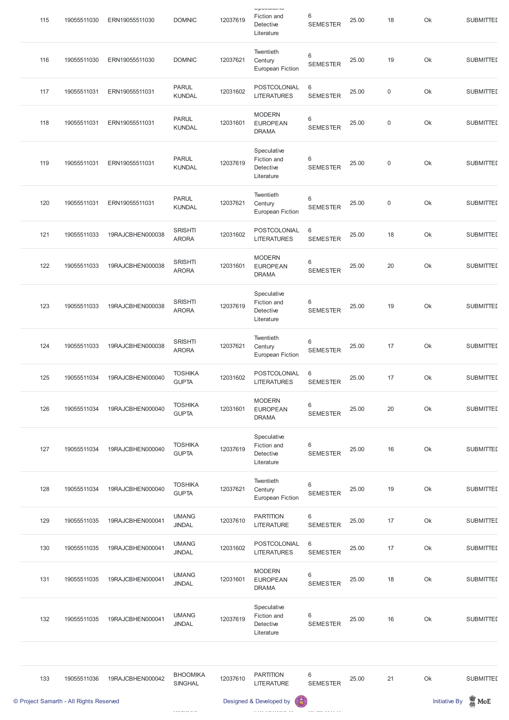|     | © Project Samarth - All Rights Reserved |                  |                                   |          | Designed & Developed by<br>熶                          |                                    |       |                  | <b>Initiative By</b> | $\blacksquare$ MoE |
|-----|-----------------------------------------|------------------|-----------------------------------|----------|-------------------------------------------------------|------------------------------------|-------|------------------|----------------------|--------------------|
| 133 | 19055511036                             | 19RAJCBHEN000042 | <b>BHOOMIKA</b><br><b>SINGHAL</b> | 12037610 | <b>PARTITION</b><br><b>LITERATURE</b>                 | 6<br><b>SEMESTER</b>               | 25.00 | 21               | Ok                   | <b>SUBMITTED</b>   |
| 132 | 19055511035                             | 19RAJCBHEN000041 | <b>UMANG</b><br><b>JINDAL</b>     | 12037619 | Speculative<br>Fiction and<br>Detective<br>Literature | 6<br><b>SEMESTER</b>               | 25.00 | 16               | Ok                   | <b>SUBMITTED</b>   |
| 131 | 19055511035                             | 19RAJCBHEN000041 | <b>UMANG</b><br><b>JINDAL</b>     | 12031601 | <b>MODERN</b><br><b>EUROPEAN</b><br><b>DRAMA</b>      | $6\phantom{1}$<br><b>SEMESTER</b>  | 25.00 | 18               | Ok                   | <b>SUBMITTED</b>   |
| 130 | 19055511035                             | 19RAJCBHEN000041 | <b>UMANG</b><br><b>JINDAL</b>     | 12031602 | POSTCOLONIAL<br><b>LITERATURES</b>                    | $6\,$<br><b>SEMESTER</b>           | 25.00 | 17               | Ok                   | <b>SUBMITTED</b>   |
| 129 | 19055511035                             | 19RAJCBHEN000041 | <b>UMANG</b><br><b>JINDAL</b>     | 12037610 | <b>PARTITION</b><br><b>LITERATURE</b>                 | $6\phantom{1}$<br><b>SEMESTER</b>  | 25.00 | 17               | Ok                   | <b>SUBMITTED</b>   |
| 128 | 19055511034                             | 19RAJCBHEN000040 | <b>TOSHIKA</b><br><b>GUPTA</b>    | 12037621 | Twentieth<br>Century<br><b>European Fiction</b>       | 6<br><b>SEMESTER</b>               | 25.00 | 19               | Ok                   | <b>SUBMITTED</b>   |
| 127 | 19055511034                             | 19RAJCBHEN000040 | <b>TOSHIKA</b><br><b>GUPTA</b>    | 12037619 | Speculative<br>Fiction and<br>Detective<br>Literature | 6<br><b>SEMESTER</b>               | 25.00 | 16               | Ok                   | <b>SUBMITTED</b>   |
| 126 | 19055511034                             | 19RAJCBHEN000040 | <b>TOSHIKA</b><br><b>GUPTA</b>    | 12031601 | <b>MODERN</b><br><b>EUROPEAN</b><br><b>DRAMA</b>      | 6<br><b>SEMESTER</b>               | 25.00 | 20               | Ok                   | <b>SUBMITTED</b>   |
| 125 | 19055511034                             | 19RAJCBHEN000040 | <b>TOSHIKA</b><br><b>GUPTA</b>    | 12031602 | POSTCOLONIAL<br><b>LITERATURES</b>                    | $6\phantom{1}$<br><b>SEMESTER</b>  | 25.00 | 17               | Ok                   | <b>SUBMITTED</b>   |
| 124 | 19055511033                             | 19RAJCBHEN000038 | <b>SRISHTI</b><br><b>ARORA</b>    | 12037621 | Twentieth<br>Century<br><b>European Fiction</b>       | $\,6\,$<br><b>SEMESTER</b>         | 25.00 | 17               | Ok                   | <b>SUBMITTED</b>   |
| 123 | 19055511033                             | 19RAJCBHEN000038 | <b>SRISHTI</b><br><b>ARORA</b>    | 12037619 | Speculative<br>Fiction and<br>Detective<br>Literature | $6\,$<br><b>SEMESTER</b>           | 25.00 | 19               | Ok                   | <b>SUBMITTED</b>   |
| 122 | 19055511033                             | 19RAJCBHEN000038 | <b>SRISHTI</b><br><b>ARORA</b>    | 12031601 | <b>MODERN</b><br><b>EUROPEAN</b><br><b>DRAMA</b>      | $6\phantom{1}$<br><b>SEMESTER</b>  | 25.00 | 20               | Ok                   | <b>SUBMITTED</b>   |
| 121 | 19055511033                             | 19RAJCBHEN000038 | <b>SRISHTI</b><br><b>ARORA</b>    | 12031602 | POSTCOLONIAL<br><b>LITERATURES</b>                    | $6\phantom{1}6$<br><b>SEMESTER</b> | 25.00 | 18               | Ok                   | <b>SUBMITTED</b>   |
| 120 | 19055511031                             | ERN19055511031   | <b>PARUL</b><br><b>KUNDAL</b>     | 12037621 | Twentieth<br>Century<br><b>European Fiction</b>       | 6<br><b>SEMESTER</b>               | 25.00 | $\boldsymbol{0}$ | Ok                   | <b>SUBMITTED</b>   |
| 119 | 19055511031                             | ERN19055511031   | <b>PARUL</b><br><b>KUNDAL</b>     | 12037619 | Speculative<br>Fiction and<br>Detective<br>Literature | 6<br><b>SEMESTER</b>               | 25.00 | $\boldsymbol{0}$ | Ok                   | <b>SUBMITTED</b>   |
| 118 | 19055511031                             | ERN19055511031   | <b>PARUL</b><br><b>KUNDAL</b>     | 12031601 | <b>MODERN</b><br><b>EUROPEAN</b><br><b>DRAMA</b>      | 6<br><b>SEMESTER</b>               | 25.00 | $\boldsymbol{0}$ | Ok                   | <b>SUBMITTED</b>   |
| 117 | 19055511031                             | ERN19055511031   | <b>PARUL</b><br><b>KUNDAL</b>     | 12031602 | POSTCOLONIAL<br><b>LITERATURES</b>                    | $6\,$<br><b>SEMESTER</b>           | 25.00 | $\boldsymbol{0}$ | Ok                   | <b>SUBMITTED</b>   |
| 116 | 19055511030                             | ERN19055511030   | <b>DOMNIC</b>                     | 12037621 | Twentieth<br>Century<br><b>European Fiction</b>       | $\,6\,$<br><b>SEMESTER</b>         | 25.00 | 19               | Ok                   | <b>SUBMITTED</b>   |
| 115 | 19055511030                             | ERN19055511030   | <b>DOMNIC</b>                     | 12037619 | Upouuluuv<br>Fiction and<br>Detective<br>Literature   | 6<br><b>SEMESTER</b>               | 25.00 | 18               | Ok                   | <b>SUBMITTED</b>   |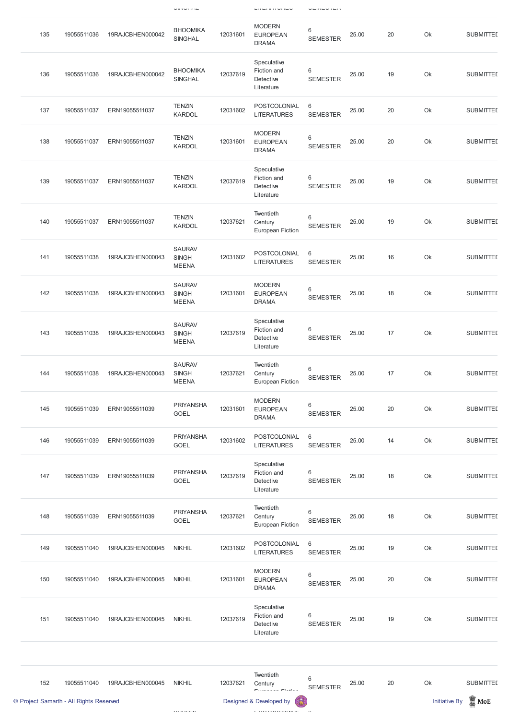|                                         |             |                  | $\cup \mathsf{H} \mathsf{V} \cup \mathsf{H} \mathsf{H} \mathsf{V} \mathsf{H}$ |          | ----------                                            | ---------                          |       |    |                      |                  |
|-----------------------------------------|-------------|------------------|-------------------------------------------------------------------------------|----------|-------------------------------------------------------|------------------------------------|-------|----|----------------------|------------------|
| 135                                     | 19055511036 | 19RAJCBHEN000042 | <b>BHOOMIKA</b><br><b>SINGHAL</b>                                             | 12031601 | <b>MODERN</b><br><b>EUROPEAN</b><br><b>DRAMA</b>      | 6<br><b>SEMESTER</b>               | 25.00 | 20 | Ok                   | <b>SUBMITTED</b> |
| 136                                     | 19055511036 | 19RAJCBHEN000042 | <b>BHOOMIKA</b><br><b>SINGHAL</b>                                             | 12037619 | Speculative<br>Fiction and<br>Detective<br>Literature | 6<br><b>SEMESTER</b>               | 25.00 | 19 | Ok                   | <b>SUBMITTED</b> |
| 137                                     | 19055511037 | ERN19055511037   | <b>TENZIN</b><br><b>KARDOL</b>                                                | 12031602 | POSTCOLONIAL<br><b>LITERATURES</b>                    | $6\phantom{1}6$<br><b>SEMESTER</b> | 25.00 | 20 | Ok                   | <b>SUBMITTED</b> |
| 138                                     | 19055511037 | ERN19055511037   | <b>TENZIN</b><br><b>KARDOL</b>                                                | 12031601 | <b>MODERN</b><br><b>EUROPEAN</b><br><b>DRAMA</b>      | 6<br><b>SEMESTER</b>               | 25.00 | 20 | Ok                   | <b>SUBMITTED</b> |
| 139                                     | 19055511037 | ERN19055511037   | <b>TENZIN</b><br><b>KARDOL</b>                                                | 12037619 | Speculative<br>Fiction and<br>Detective<br>Literature | 6<br><b>SEMESTER</b>               | 25.00 | 19 | Ok                   | <b>SUBMITTED</b> |
| 140                                     | 19055511037 | ERN19055511037   | <b>TENZIN</b><br><b>KARDOL</b>                                                | 12037621 | Twentieth<br>Century<br><b>European Fiction</b>       | 6<br><b>SEMESTER</b>               | 25.00 | 19 | Ok                   | <b>SUBMITTED</b> |
| 141                                     | 19055511038 | 19RAJCBHEN000043 | <b>SAURAV</b><br><b>SINGH</b><br><b>MEENA</b>                                 | 12031602 | POSTCOLONIAL<br><b>LITERATURES</b>                    | $6\phantom{1}6$<br><b>SEMESTER</b> | 25.00 | 16 | Ok                   | <b>SUBMITTED</b> |
| 142                                     | 19055511038 | 19RAJCBHEN000043 | <b>SAURAV</b><br><b>SINGH</b><br><b>MEENA</b>                                 | 12031601 | <b>MODERN</b><br><b>EUROPEAN</b><br><b>DRAMA</b>      | 6<br><b>SEMESTER</b>               | 25.00 | 18 | Ok                   | <b>SUBMITTED</b> |
| 143                                     | 19055511038 | 19RAJCBHEN000043 | <b>SAURAV</b><br><b>SINGH</b><br><b>MEENA</b>                                 | 12037619 | Speculative<br>Fiction and<br>Detective<br>Literature | 6<br><b>SEMESTER</b>               | 25.00 | 17 | Ok                   | <b>SUBMITTED</b> |
| 144                                     | 19055511038 | 19RAJCBHEN000043 | <b>SAURAV</b><br><b>SINGH</b><br><b>MEENA</b>                                 | 12037621 | Twentieth<br>Century<br><b>European Fiction</b>       | 6<br><b>SEMESTER</b>               | 25.00 | 17 | Ok                   | <b>SUBMITTED</b> |
| 145                                     | 19055511039 | ERN19055511039   | <b>PRIYANSHA</b><br><b>GOEL</b>                                               | 12031601 | <b>MODERN</b><br><b>EUROPEAN</b><br><b>DRAMA</b>      | 6<br><b>SEMESTER</b>               | 25.00 | 20 | Ok                   | <b>SUBMITTED</b> |
| 146                                     | 19055511039 | ERN19055511039   | <b>PRIYANSHA</b><br><b>GOEL</b>                                               | 12031602 | POSTCOLONIAL<br><b>LITERATURES</b>                    | $\,6\,$<br><b>SEMESTER</b>         | 25.00 | 14 | Ok                   | <b>SUBMITTED</b> |
| 147                                     | 19055511039 | ERN19055511039   | <b>PRIYANSHA</b><br><b>GOEL</b>                                               | 12037619 | Speculative<br>Fiction and<br>Detective<br>Literature | 6<br><b>SEMESTER</b>               | 25.00 | 18 | Ok                   | <b>SUBMITTED</b> |
| 148                                     | 19055511039 | ERN19055511039   | <b>PRIYANSHA</b><br><b>GOEL</b>                                               | 12037621 | Twentieth<br>Century<br><b>European Fiction</b>       | 6<br><b>SEMESTER</b>               | 25.00 | 18 | Ok                   | <b>SUBMITTED</b> |
| 149                                     | 19055511040 | 19RAJCBHEN000045 | <b>NIKHIL</b>                                                                 | 12031602 | POSTCOLONIAL<br><b>LITERATURES</b>                    | $6\phantom{1}6$<br><b>SEMESTER</b> | 25.00 | 19 | Ok                   | <b>SUBMITTED</b> |
| 150                                     | 19055511040 | 19RAJCBHEN000045 | <b>NIKHIL</b>                                                                 | 12031601 | <b>MODERN</b><br><b>EUROPEAN</b><br><b>DRAMA</b>      | 6<br><b>SEMESTER</b>               | 25.00 | 20 | Ok                   | <b>SUBMITTED</b> |
| 151                                     | 19055511040 | 19RAJCBHEN000045 | <b>NIKHIL</b>                                                                 | 12037619 | Speculative<br>Fiction and<br>Detective<br>Literature | 6<br><b>SEMESTER</b>               | 25.00 | 19 | Ok                   | <b>SUBMITTED</b> |
| 152                                     | 19055511040 | 19RAJCBHEN000045 | <b>NIKHIL</b>                                                                 | 12037621 | Twentieth<br>Century<br>European Eistian              | 6<br><b>SEMESTER</b>               | 25.00 | 20 | Ok                   | <b>SUBMITTED</b> |
| © Project Samarth - All Rights Reserved |             |                  |                                                                               |          | Designed & Developed by                               |                                    |       |    | <b>Initiative By</b> | $\mathbf{N}$ MoE |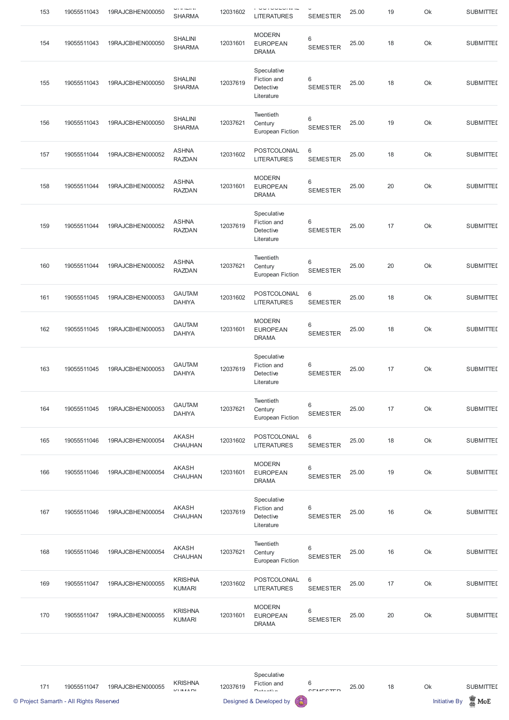| 154 |             |                  |                                 |          |                                                       |                          |       |    |    |                  |
|-----|-------------|------------------|---------------------------------|----------|-------------------------------------------------------|--------------------------|-------|----|----|------------------|
|     | 19055511043 | 19RAJCBHEN000050 | <b>SHALINI</b><br><b>SHARMA</b> | 12031601 | <b>MODERN</b><br><b>EUROPEAN</b><br><b>DRAMA</b>      | 6<br><b>SEMESTER</b>     | 25.00 | 18 | Ok | <b>SUBMITTED</b> |
| 155 | 19055511043 | 19RAJCBHEN000050 | <b>SHALINI</b><br><b>SHARMA</b> | 12037619 | Speculative<br>Fiction and<br>Detective<br>Literature | 6<br><b>SEMESTER</b>     | 25.00 | 18 | Ok | <b>SUBMITTED</b> |
| 156 | 19055511043 | 19RAJCBHEN000050 | <b>SHALINI</b><br><b>SHARMA</b> | 12037621 | Twentieth<br>Century<br><b>European Fiction</b>       | 6<br><b>SEMESTER</b>     | 25.00 | 19 | Ok | <b>SUBMITTED</b> |
| 157 | 19055511044 | 19RAJCBHEN000052 | <b>ASHNA</b><br><b>RAZDAN</b>   | 12031602 | POSTCOLONIAL<br><b>LITERATURES</b>                    | 6<br><b>SEMESTER</b>     | 25.00 | 18 | Ok | <b>SUBMITTED</b> |
| 158 | 19055511044 | 19RAJCBHEN000052 | <b>ASHNA</b><br><b>RAZDAN</b>   | 12031601 | <b>MODERN</b><br><b>EUROPEAN</b><br><b>DRAMA</b>      | 6<br><b>SEMESTER</b>     | 25.00 | 20 | Ok | <b>SUBMITTED</b> |
| 159 | 19055511044 | 19RAJCBHEN000052 | <b>ASHNA</b><br><b>RAZDAN</b>   | 12037619 | Speculative<br>Fiction and<br>Detective<br>Literature | 6<br><b>SEMESTER</b>     | 25.00 | 17 | Ok | <b>SUBMITTED</b> |
| 160 | 19055511044 | 19RAJCBHEN000052 | <b>ASHNA</b><br><b>RAZDAN</b>   | 12037621 | Twentieth<br>Century<br>European Fiction              | 6<br><b>SEMESTER</b>     | 25.00 | 20 | Ok | <b>SUBMITTED</b> |
| 161 | 19055511045 | 19RAJCBHEN000053 | <b>GAUTAM</b><br><b>DAHIYA</b>  | 12031602 | POSTCOLONIAL<br><b>LITERATURES</b>                    | 6<br><b>SEMESTER</b>     | 25.00 | 18 | Ok | <b>SUBMITTED</b> |
| 162 | 19055511045 | 19RAJCBHEN000053 | <b>GAUTAM</b><br><b>DAHIYA</b>  | 12031601 | <b>MODERN</b><br><b>EUROPEAN</b><br><b>DRAMA</b>      | 6<br><b>SEMESTER</b>     | 25.00 | 18 | Ok | <b>SUBMITTED</b> |
| 163 | 19055511045 | 19RAJCBHEN000053 | <b>GAUTAM</b><br><b>DAHIYA</b>  | 12037619 | Speculative<br>Fiction and<br>Detective<br>Literature | 6<br><b>SEMESTER</b>     | 25.00 | 17 | Ok | <b>SUBMITTED</b> |
| 164 | 19055511045 | 19RAJCBHEN000053 | <b>GAUTAM</b><br><b>DAHIYA</b>  | 12037621 | Twentieth<br>Century<br><b>European Fiction</b>       | 6<br><b>SEMESTER</b>     | 25.00 | 17 | Ok | <b>SUBMITTED</b> |
| 165 | 19055511046 | 19RAJCBHEN000054 | <b>AKASH</b><br><b>CHAUHAN</b>  | 12031602 | POSTCOLONIAL<br><b>LITERATURES</b>                    | $6\,$<br><b>SEMESTER</b> | 25.00 | 18 | Ok | <b>SUBMITTED</b> |
| 166 | 19055511046 | 19RAJCBHEN000054 | <b>AKASH</b><br>CHAUHAN         | 12031601 | <b>MODERN</b><br><b>EUROPEAN</b><br><b>DRAMA</b>      | 6<br><b>SEMESTER</b>     | 25.00 | 19 | Ok | <b>SUBMITTED</b> |
| 167 | 19055511046 | 19RAJCBHEN000054 | <b>AKASH</b><br><b>CHAUHAN</b>  | 12037619 | Speculative<br>Fiction and<br>Detective<br>Literature | 6<br><b>SEMESTER</b>     | 25.00 | 16 | Ok | <b>SUBMITTED</b> |
| 168 | 19055511046 | 19RAJCBHEN000054 | <b>AKASH</b><br><b>CHAUHAN</b>  | 12037621 | Twentieth<br>Century<br><b>European Fiction</b>       | 6<br><b>SEMESTER</b>     | 25.00 | 16 | Ok | <b>SUBMITTED</b> |
| 169 | 19055511047 | 19RAJCBHEN000055 | <b>KRISHNA</b><br><b>KUMARI</b> | 12031602 | POSTCOLONIAL<br><b>LITERATURES</b>                    | 6<br><b>SEMESTER</b>     | 25.00 | 17 | Ok | <b>SUBMITTED</b> |
| 170 | 19055511047 | 19RAJCBHEN000055 | <b>KRISHNA</b><br><b>KUMARI</b> | 12031601 | <b>MODERN</b><br><b>EUROPEAN</b><br><b>DRAMA</b>      | 6<br><b>SEMESTER</b>     | 25.00 | 20 | Ok | <b>SUBMITTED</b> |